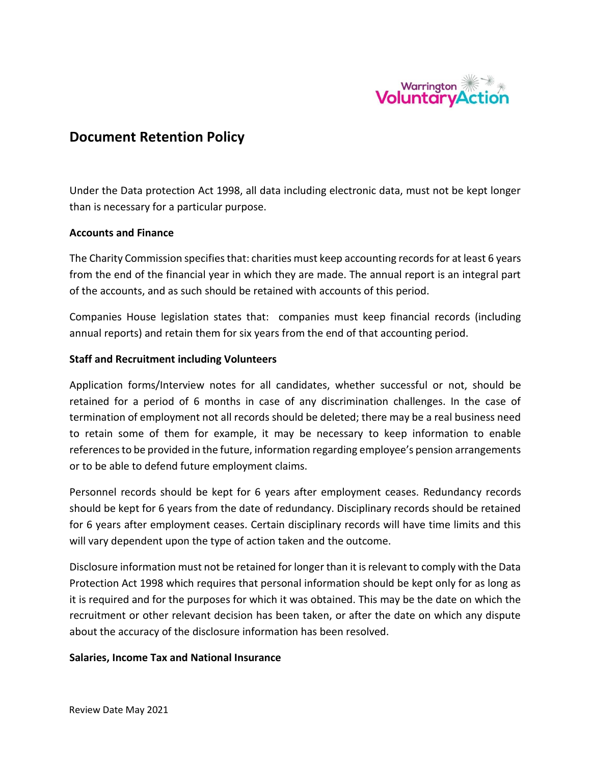

# **Document Retention Policy**

Under the Data protection Act 1998, all data including electronic data, must not be kept longer than is necessary for a particular purpose.

# **Accounts and Finance**

The Charity Commission specifies that: charities must keep accounting records for at least 6 years from the end of the financial year in which they are made. The annual report is an integral part of the accounts, and as such should be retained with accounts of this period.

Companies House legislation states that: companies must keep financial records (including annual reports) and retain them for six years from the end of that accounting period.

#### **Staff and Recruitment including Volunteers**

Application forms/Interview notes for all candidates, whether successful or not, should be retained for a period of 6 months in case of any discrimination challenges. In the case of termination of employment not all records should be deleted; there may be a real business need to retain some of them for example, it may be necessary to keep information to enable references to be provided in the future, information regarding employee's pension arrangements or to be able to defend future employment claims.

Personnel records should be kept for 6 years after employment ceases. Redundancy records should be kept for 6 years from the date of redundancy. Disciplinary records should be retained for 6 years after employment ceases. Certain disciplinary records will have time limits and this will vary dependent upon the type of action taken and the outcome.

Disclosure information must not be retained for longer than it is relevant to comply with the Data Protection Act 1998 which requires that personal information should be kept only for as long as it is required and for the purposes for which it was obtained. This may be the date on which the recruitment or other relevant decision has been taken, or after the date on which any dispute about the accuracy of the disclosure information has been resolved.

#### **Salaries, Income Tax and National Insurance**